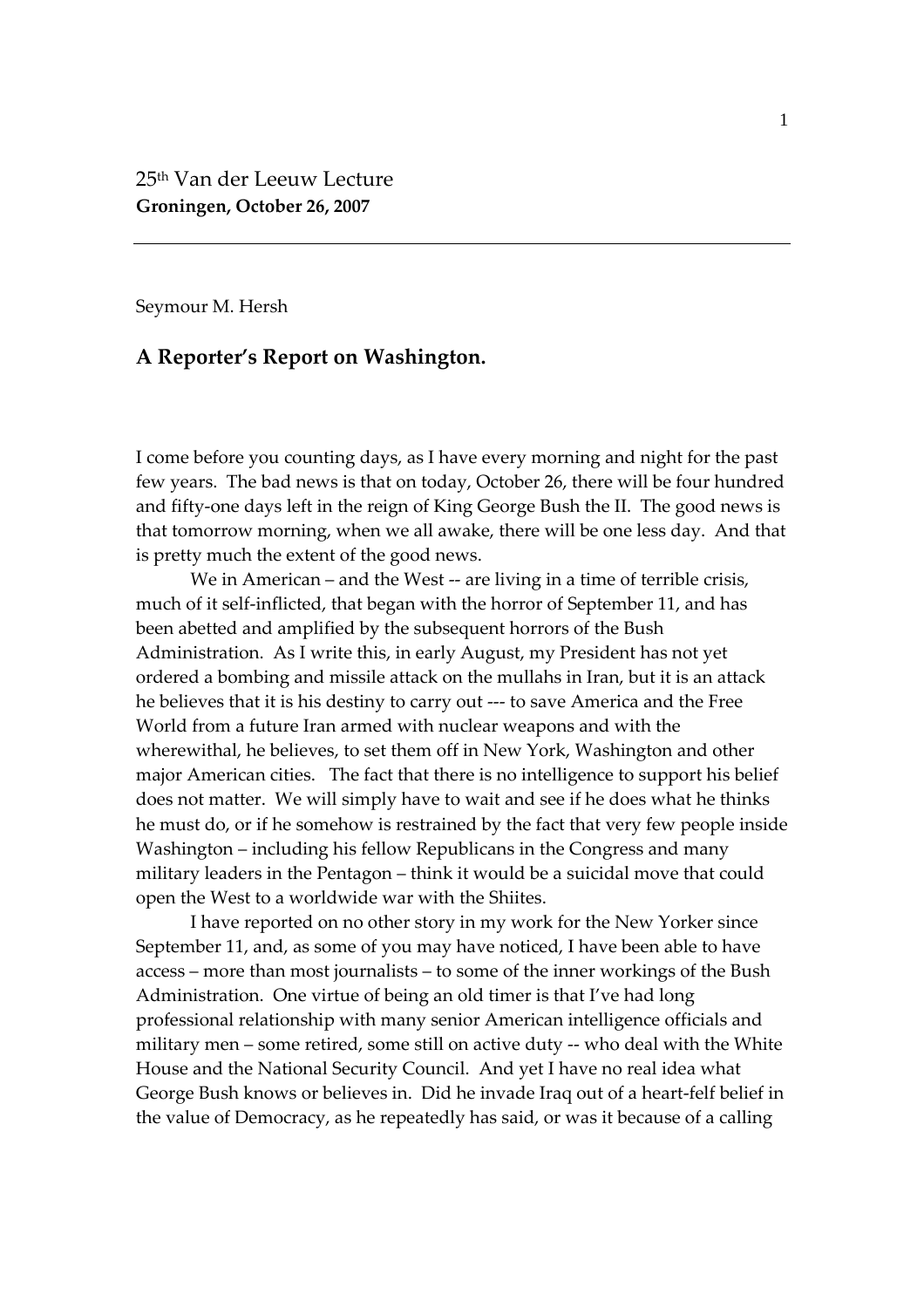Seymour M. Hersh

## **A Reporter's Report on Washington.**

I come before you counting days, as I have every morning and night for the past few years. The bad news is that on today, October 26, there will be four hundred and fifty-one days left in the reign of King George Bush the II. The good news is that tomorrow morning, when we all awake, there will be one less day. And that is pretty much the extent of the good news.

We in American – and the West -- are living in a time of terrible crisis, much of it self-inflicted, that began with the horror of September 11, and has been abetted and amplified by the subsequent horrors of the Bush Administration. As I write this, in early August, my President has not yet ordered a bombing and missile attack on the mullahs in Iran, but it is an attack he believes that it is his destiny to carry out ‐‐‐ to save America and the Free World from a future Iran armed with nuclear weapons and with the wherewithal, he believes, to set them off in New York, Washington and other major American cities. The fact that there is no intelligence to support his belief does not matter. We will simply have to wait and see if he does what he thinks he must do, or if he somehow is restrained by the fact that very few people inside Washington – including his fellow Republicans in the Congress and many military leaders in the Pentagon – think it would be a suicidal move that could open the West to a worldwide war with the Shiites.

I have reported on no other story in my work for the New Yorker since September 11, and, as some of you may have noticed, I have been able to have access – more than most journalists – to some of the inner workings of the Bush Administration. One virtue of being an old timer is that I've had long professional relationship with many senior American intelligence officials and military men – some retired, some still on active duty -- who deal with the White House and the National Security Council. And yet I have no real idea what George Bush knows or believes in. Did he invade Iraq out of a heart‐felf belief in the value of Democracy, as he repeatedly has said, or was it because of a calling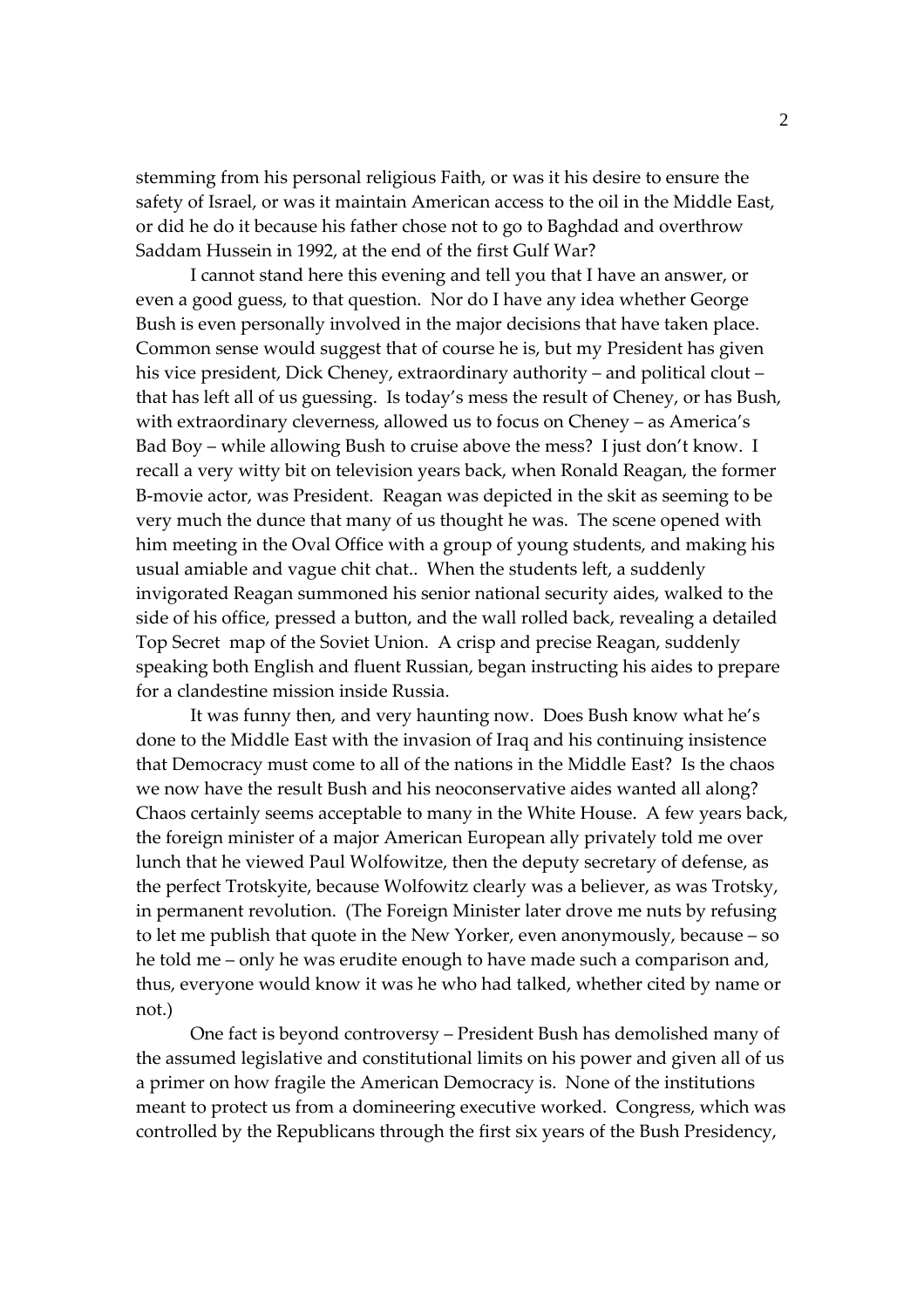stemming from his personal religious Faith, or was it his desire to ensure the safety of Israel, or was it maintain American access to the oil in the Middle East, or did he do it because his father chose not to go to Baghdad and overthrow Saddam Hussein in 1992, at the end of the first Gulf War?

I cannot stand here this evening and tell you that I have an answer, or even a good guess, to that question. Nor do I have any idea whether George Bush is even personally involved in the major decisions that have taken place. Common sense would suggest that of course he is, but my President has given his vice president, Dick Cheney, extraordinary authority – and political clout – that has left all of us guessing. Is today's mess the result of Cheney, or has Bush, with extraordinary cleverness, allowed us to focus on Cheney – as America's Bad Boy – while allowing Bush to cruise above the mess? I just don't know. I recall a very witty bit on television years back, when Ronald Reagan, the former B‐movie actor, was President. Reagan was depicted in the skit as seeming to be very much the dunce that many of us thought he was. The scene opened with him meeting in the Oval Office with a group of young students, and making his usual amiable and vague chit chat.. When the students left, a suddenly invigorated Reagan summoned his senior national security aides, walked to the side of his office, pressed a button, and the wall rolled back, revealing a detailed Top Secret map of the Soviet Union. A crisp and precise Reagan, suddenly speaking both English and fluent Russian, began instructing his aides to prepare for a clandestine mission inside Russia.

It was funny then, and very haunting now. Does Bush know what he's done to the Middle East with the invasion of Iraq and his continuing insistence that Democracy must come to all of the nations in the Middle East? Is the chaos we now have the result Bush and his neoconservative aides wanted all along? Chaos certainly seems acceptable to many in the White House. A few years back, the foreign minister of a major American European ally privately told me over lunch that he viewed Paul Wolfowitze, then the deputy secretary of defense, as the perfect Trotskyite, because Wolfowitz clearly was a believer, as was Trotsky, in permanent revolution. (The Foreign Minister later drove me nuts by refusing to let me publish that quote in the New Yorker, even anonymously, because – so he told me – only he was erudite enough to have made such a comparison and, thus, everyone would know it was he who had talked, whether cited by name or not.)

One fact is beyond controversy – President Bush has demolished many of the assumed legislative and constitutional limits on his power and given all of us a primer on how fragile the American Democracy is. None of the institutions meant to protect us from a domineering executive worked. Congress, which was controlled by the Republicans through the first six years of the Bush Presidency,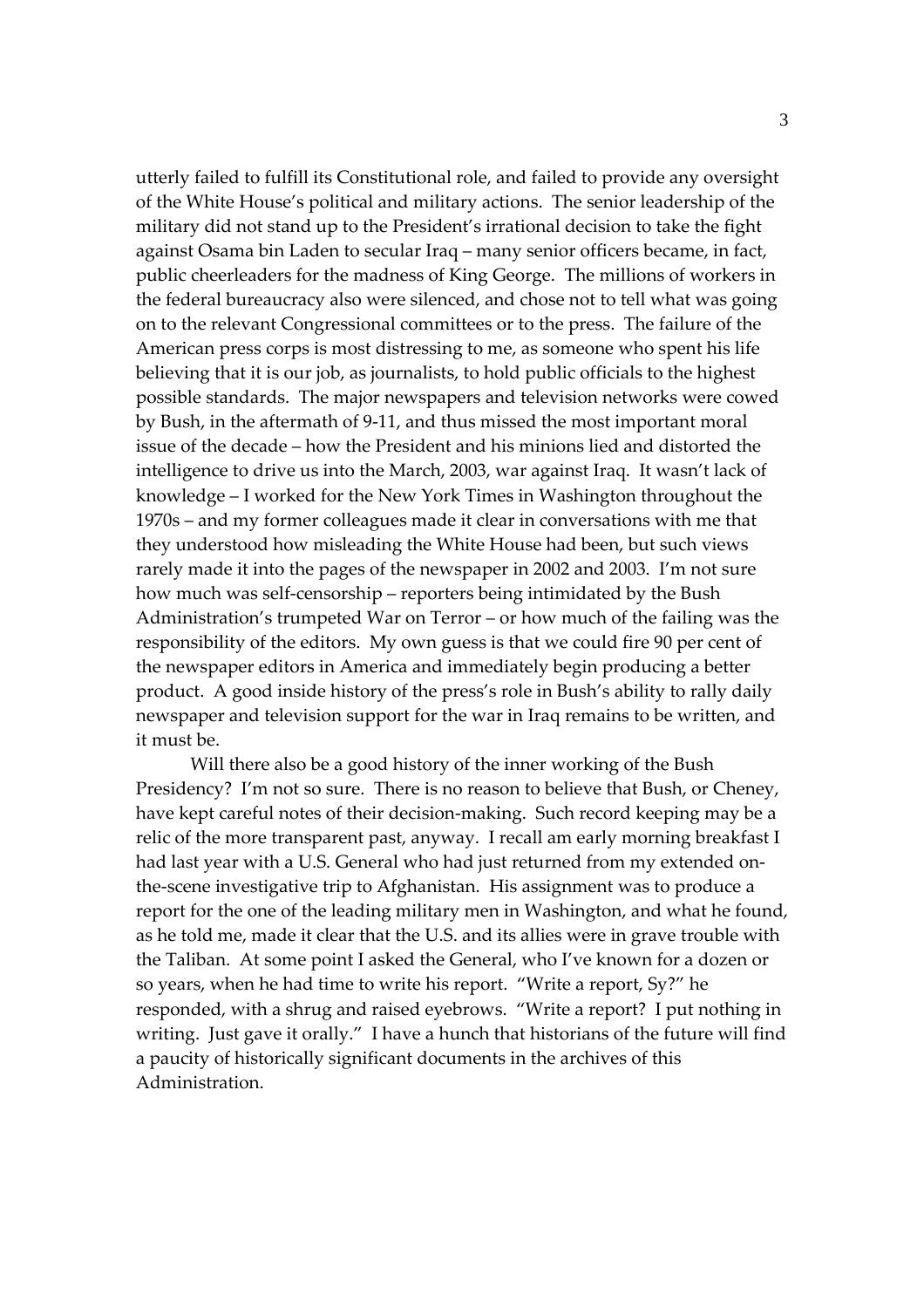utterly failed to fulfill its Constitutional role, and failed to provide any oversight of the White House's political and military actions. The senior leadership of the military did not stand up to the President's irrational decision to take the fight against Osama bin Laden to secular Iraq – many senior officers became, in fact, public cheerleaders for the madness of King George. The millions of workers in the federal bureaucracy also were silenced, and chose not to tell what was going on to the relevant Congressional committees or to the press. The failure of the American press corps is most distressing to me, as someone who spent his life believing that it is our job, as journalists, to hold public officials to the highest possible standards. The major newspapers and television networks were cowed by Bush, in the aftermath of 9‐11, and thus missed the most important moral issue of the decade – how the President and his minions lied and distorted the intelligence to drive us into the March, 2003, war against Iraq. It wasn't lack of knowledge – I worked for the New York Times in Washington throughout the 1970s – and my former colleagues made it clear in conversations with me that they understood how misleading the White House had been, but such views rarely made it into the pages of the newspaper in 2002 and 2003. I'm not sure how much was self-censorship – reporters being intimidated by the Bush Administration's trumpeted War on Terror – or how much of the failing was the responsibility of the editors. My own guess is that we could fire 90 per cent of the newspaper editors in America and immediately begin producing a better product. A good inside history of the press's role in Bush's ability to rally daily newspaper and television support for the war in Iraq remains to be written, and it must be.

Will there also be a good history of the inner working of the Bush Presidency? I'm not so sure. There is no reason to believe that Bush, or Cheney, have kept careful notes of their decision-making. Such record keeping may be a relic of the more transparent past, anyway. I recall am early morning breakfast I had last year with a U.S. General who had just returned from my extended onthe‐scene investigative trip to Afghanistan. His assignment was to produce a report for the one of the leading military men in Washington, and what he found, as he told me, made it clear that the U.S. and its allies were in grave trouble with the Taliban. At some point I asked the General, who I've known for a dozen or so years, when he had time to write his report. "Write a report, Sy?" he responded, with a shrug and raised eyebrows. "Write a report? I put nothing in writing. Just gave it orally." I have a hunch that historians of the future will find a paucity of historically significant documents in the archives of this Administration.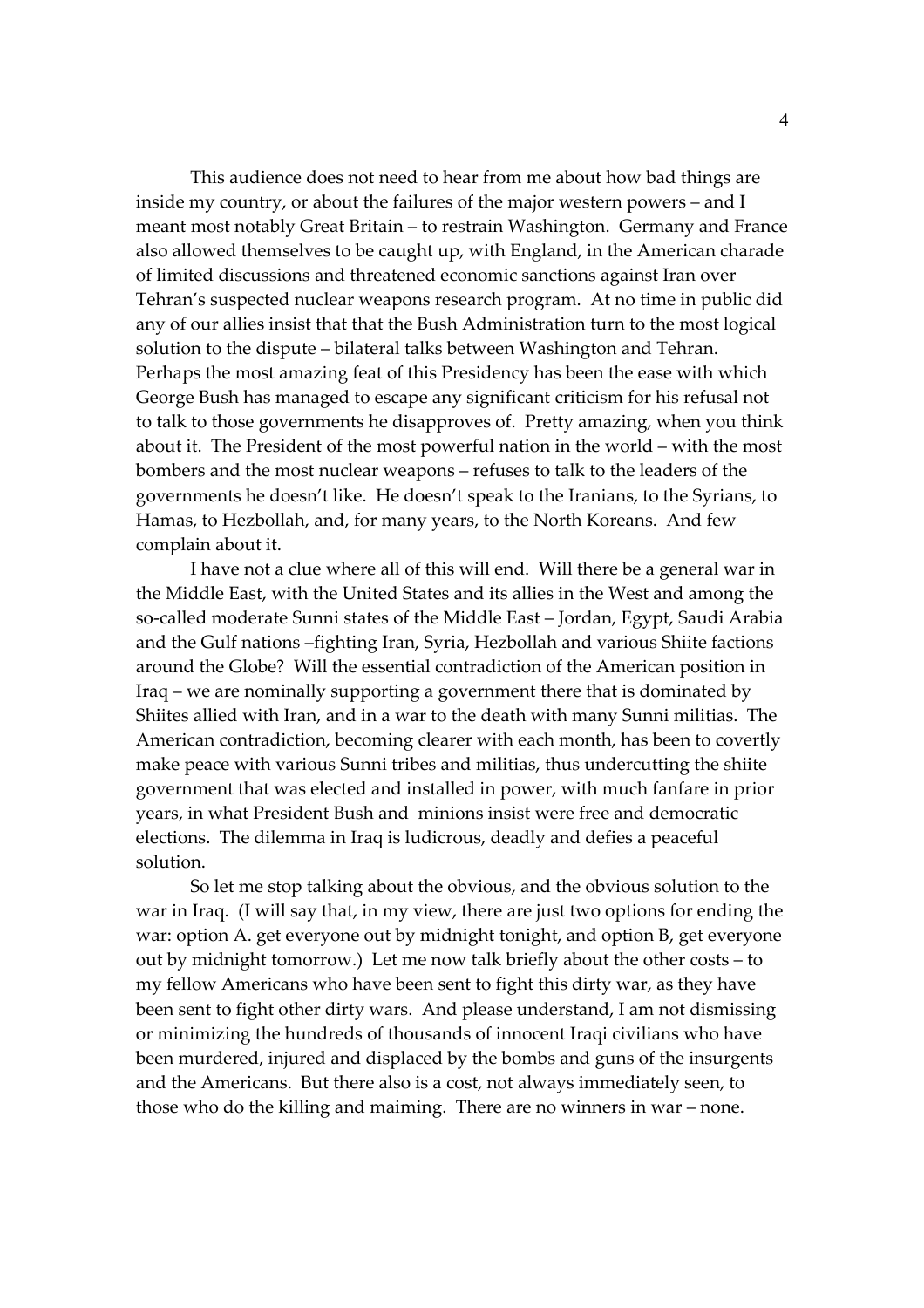This audience does not need to hear from me about how bad things are inside my country, or about the failures of the major western powers – and I meant most notably Great Britain – to restrain Washington. Germany and France also allowed themselves to be caught up, with England, in the American charade of limited discussions and threatened economic sanctions against Iran over Tehran's suspected nuclear weapons research program. At no time in public did any of our allies insist that that the Bush Administration turn to the most logical solution to the dispute – bilateral talks between Washington and Tehran. Perhaps the most amazing feat of this Presidency has been the ease with which George Bush has managed to escape any significant criticism for his refusal not to talk to those governments he disapproves of. Pretty amazing, when you think about it. The President of the most powerful nation in the world – with the most bombers and the most nuclear weapons – refuses to talk to the leaders of the governments he doesn't like. He doesn't speak to the Iranians, to the Syrians, to Hamas, to Hezbollah, and, for many years, to the North Koreans. And few complain about it.

I have not a clue where all of this will end. Will there be a general war in the Middle East, with the United States and its allies in the West and among the so-called moderate Sunni states of the Middle East – Jordan, Egypt, Saudi Arabia and the Gulf nations –fighting Iran, Syria, Hezbollah and various Shiite factions around the Globe? Will the essential contradiction of the American position in Iraq – we are nominally supporting a government there that is dominated by Shiites allied with Iran, and in a war to the death with many Sunni militias. The American contradiction, becoming clearer with each month, has been to covertly make peace with various Sunni tribes and militias, thus undercutting the shiite government that was elected and installed in power, with much fanfare in prior years, in what President Bush and minions insist were free and democratic elections. The dilemma in Iraq is ludicrous, deadly and defies a peaceful solution.

So let me stop talking about the obvious, and the obvious solution to the war in Iraq. (I will say that, in my view, there are just two options for ending the war: option A. get everyone out by midnight tonight, and option B, get everyone out by midnight tomorrow.) Let me now talk briefly about the other costs – to my fellow Americans who have been sent to fight this dirty war, as they have been sent to fight other dirty wars. And please understand, I am not dismissing or minimizing the hundreds of thousands of innocent Iraqi civilians who have been murdered, injured and displaced by the bombs and guns of the insurgents and the Americans. But there also is a cost, not always immediately seen, to those who do the killing and maiming. There are no winners in war – none.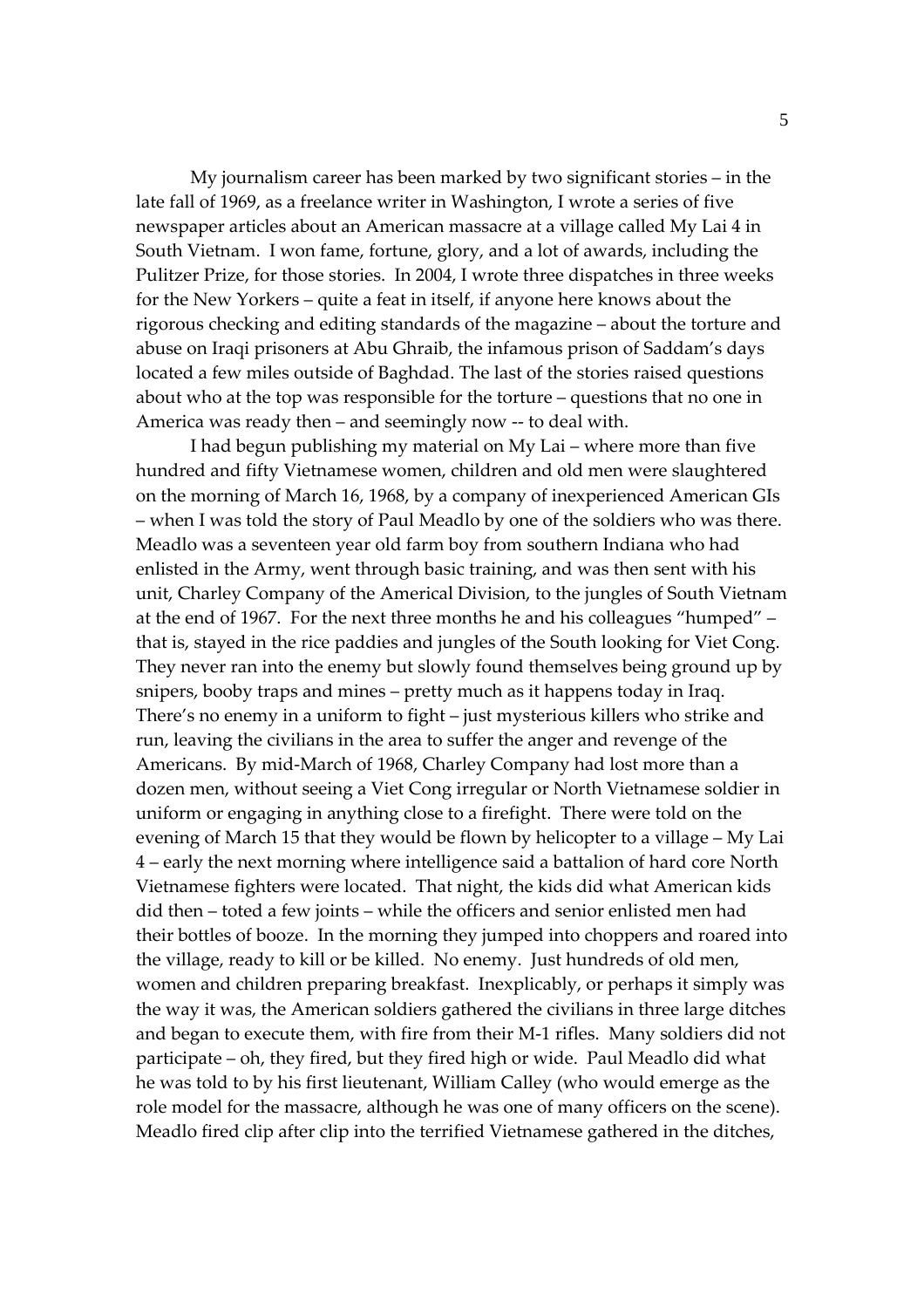My journalism career has been marked by two significant stories – in the late fall of 1969, as a freelance writer in Washington, I wrote a series of five newspaper articles about an American massacre at a village called My Lai 4 in South Vietnam. I won fame, fortune, glory, and a lot of awards, including the Pulitzer Prize, for those stories. In 2004, I wrote three dispatches in three weeks for the New Yorkers – quite a feat in itself, if anyone here knows about the rigorous checking and editing standards of the magazine – about the torture and abuse on Iraqi prisoners at Abu Ghraib, the infamous prison of Saddam's days located a few miles outside of Baghdad. The last of the stories raised questions about who at the top was responsible for the torture – questions that no one in America was ready then – and seemingly now ‐‐ to deal with.

I had begun publishing my material on My Lai – where more than five hundred and fifty Vietnamese women, children and old men were slaughtered on the morning of March 16, 1968, by a company of inexperienced American GIs – when I was told the story of Paul Meadlo by one of the soldiers who was there. Meadlo was a seventeen year old farm boy from southern Indiana who had enlisted in the Army, went through basic training, and was then sent with his unit, Charley Company of the Americal Division, to the jungles of South Vietnam at the end of 1967. For the next three months he and his colleagues "humped" – that is, stayed in the rice paddies and jungles of the South looking for Viet Cong. They never ran into the enemy but slowly found themselves being ground up by snipers, booby traps and mines – pretty much as it happens today in Iraq. There's no enemy in a uniform to fight – just mysterious killers who strike and run, leaving the civilians in the area to suffer the anger and revenge of the Americans. By mid‐March of 1968, Charley Company had lost more than a dozen men, without seeing a Viet Cong irregular or North Vietnamese soldier in uniform or engaging in anything close to a firefight. There were told on the evening of March 15 that they would be flown by helicopter to a village – My Lai 4 – early the next morning where intelligence said a battalion of hard core North Vietnamese fighters were located. That night, the kids did what American kids did then – toted a few joints – while the officers and senior enlisted men had their bottles of booze. In the morning they jumped into choppers and roared into the village, ready to kill or be killed. No enemy. Just hundreds of old men, women and children preparing breakfast. Inexplicably, or perhaps it simply was the way it was, the American soldiers gathered the civilians in three large ditches and began to execute them, with fire from their M‐1 rifles. Many soldiers did not participate – oh, they fired, but they fired high or wide. Paul Meadlo did what he was told to by his first lieutenant, William Calley (who would emerge as the role model for the massacre, although he was one of many officers on the scene). Meadlo fired clip after clip into the terrified Vietnamese gathered in the ditches,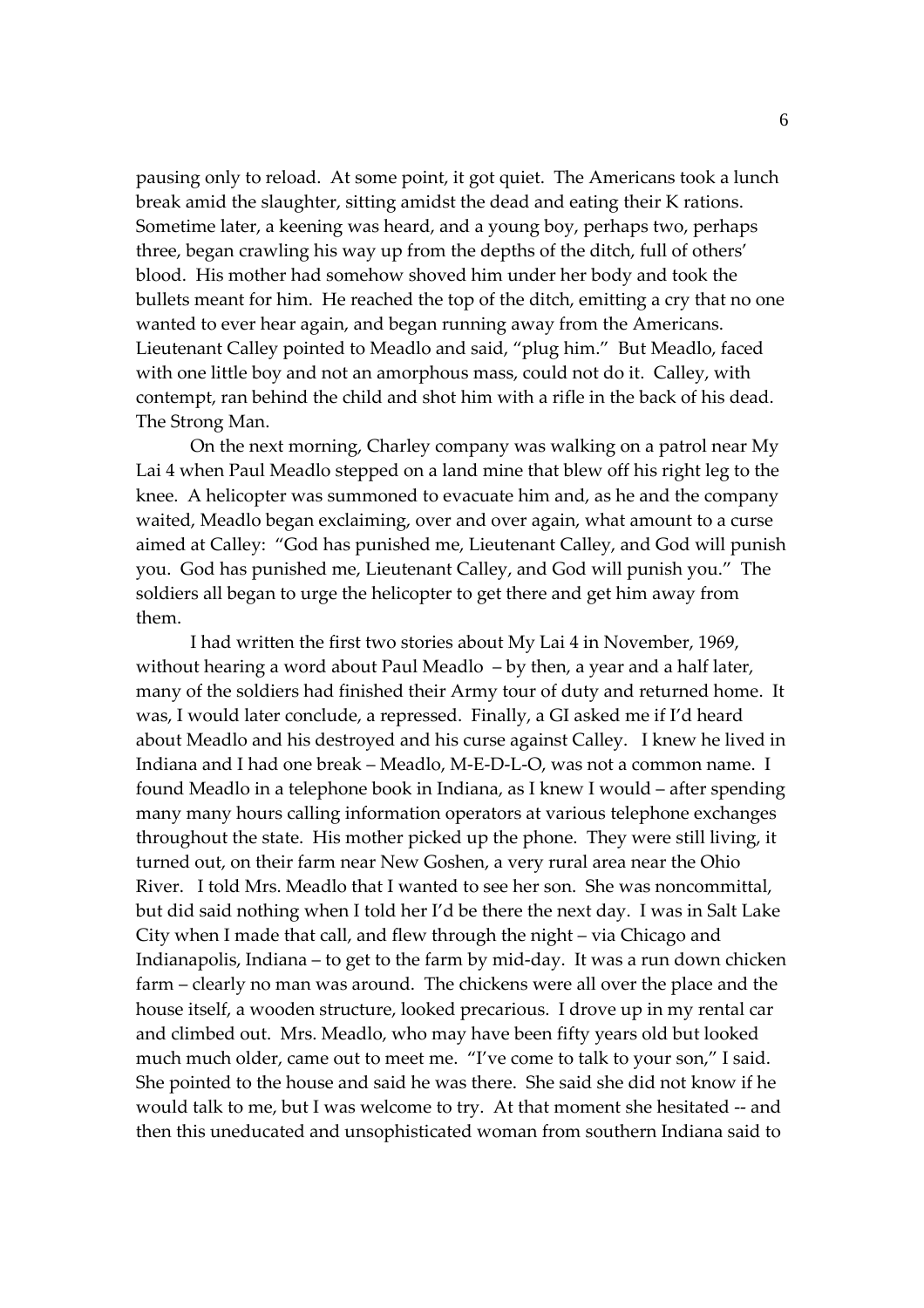pausing only to reload. At some point, it got quiet. The Americans took a lunch break amid the slaughter, sitting amidst the dead and eating their K rations. Sometime later, a keening was heard, and a young boy, perhaps two, perhaps three, began crawling his way up from the depths of the ditch, full of others' blood. His mother had somehow shoved him under her body and took the bullets meant for him. He reached the top of the ditch, emitting a cry that no one wanted to ever hear again, and began running away from the Americans. Lieutenant Calley pointed to Meadlo and said, "plug him." But Meadlo, faced with one little boy and not an amorphous mass, could not do it. Calley, with contempt, ran behind the child and shot him with a rifle in the back of his dead. The Strong Man.

On the next morning, Charley company was walking on a patrol near My Lai 4 when Paul Meadlo stepped on a land mine that blew off his right leg to the knee. A helicopter was summoned to evacuate him and, as he and the company waited, Meadlo began exclaiming, over and over again, what amount to a curse aimed at Calley: "God has punished me, Lieutenant Calley, and God will punish you. God has punished me, Lieutenant Calley, and God will punish you." The soldiers all began to urge the helicopter to get there and get him away from them.

I had written the first two stories about My Lai 4 in November, 1969, without hearing a word about Paul Meadlo – by then, a year and a half later, many of the soldiers had finished their Army tour of duty and returned home. It was, I would later conclude, a repressed. Finally, a GI asked me if I'd heard about Meadlo and his destroyed and his curse against Calley. I knew he lived in Indiana and I had one break – Meadlo, M‐E‐D‐L‐O, was not a common name. I found Meadlo in a telephone book in Indiana, as I knew I would – after spending many many hours calling information operators at various telephone exchanges throughout the state. His mother picked up the phone. They were still living, it turned out, on their farm near New Goshen, a very rural area near the Ohio River. I told Mrs. Meadlo that I wanted to see her son. She was noncommittal, but did said nothing when I told her I'd be there the next day. I was in Salt Lake City when I made that call, and flew through the night – via Chicago and Indianapolis, Indiana – to get to the farm by mid‐day. It was a run down chicken farm – clearly no man was around. The chickens were all over the place and the house itself, a wooden structure, looked precarious. I drove up in my rental car and climbed out. Mrs. Meadlo, who may have been fifty years old but looked much much older, came out to meet me. "I've come to talk to your son," I said. She pointed to the house and said he was there. She said she did not know if he would talk to me, but I was welcome to try. At that moment she hesitated ‐‐ and then this uneducated and unsophisticated woman from southern Indiana said to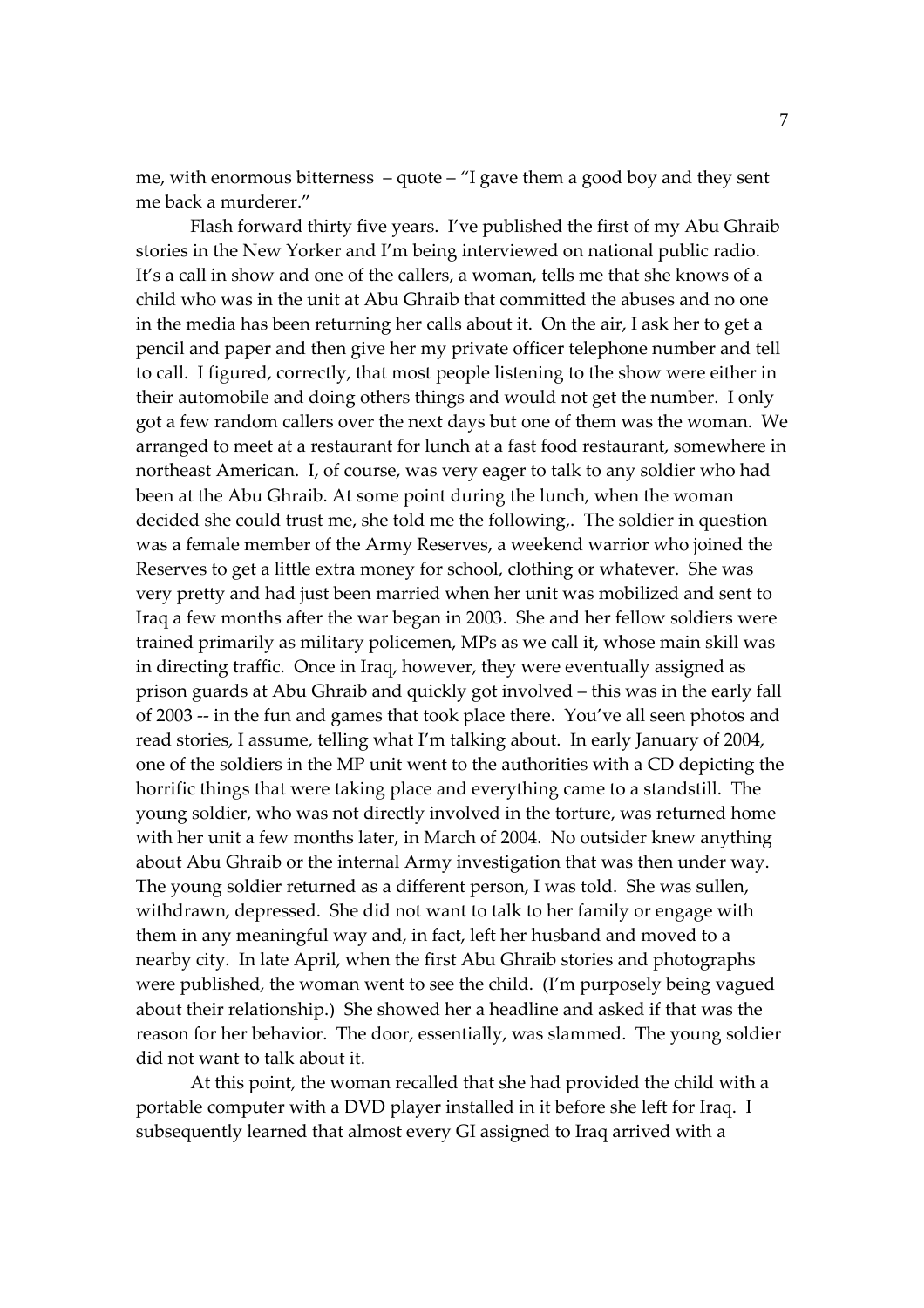me, with enormous bitterness – quote – "I gave them a good boy and they sent me back a murderer."

Flash forward thirty five years. I've published the first of my Abu Ghraib stories in the New Yorker and I'm being interviewed on national public radio. It's a call in show and one of the callers, a woman, tells me that she knows of a child who was in the unit at Abu Ghraib that committed the abuses and no one in the media has been returning her calls about it. On the air, I ask her to get a pencil and paper and then give her my private officer telephone number and tell to call. I figured, correctly, that most people listening to the show were either in their automobile and doing others things and would not get the number. I only got a few random callers over the next days but one of them was the woman. We arranged to meet at a restaurant for lunch at a fast food restaurant, somewhere in northeast American. I, of course, was very eager to talk to any soldier who had been at the Abu Ghraib. At some point during the lunch, when the woman decided she could trust me, she told me the following,. The soldier in question was a female member of the Army Reserves, a weekend warrior who joined the Reserves to get a little extra money for school, clothing or whatever. She was very pretty and had just been married when her unit was mobilized and sent to Iraq a few months after the war began in 2003. She and her fellow soldiers were trained primarily as military policemen, MPs as we call it, whose main skill was in directing traffic. Once in Iraq, however, they were eventually assigned as prison guards at Abu Ghraib and quickly got involved – this was in the early fall of 2003 ‐‐ in the fun and games that took place there. You've all seen photos and read stories, I assume, telling what I'm talking about. In early January of 2004, one of the soldiers in the MP unit went to the authorities with a CD depicting the horrific things that were taking place and everything came to a standstill. The young soldier, who was not directly involved in the torture, was returned home with her unit a few months later, in March of 2004. No outsider knew anything about Abu Ghraib or the internal Army investigation that was then under way. The young soldier returned as a different person, I was told. She was sullen, withdrawn, depressed. She did not want to talk to her family or engage with them in any meaningful way and, in fact, left her husband and moved to a nearby city. In late April, when the first Abu Ghraib stories and photographs were published, the woman went to see the child. (I'm purposely being vagued about their relationship.) She showed her a headline and asked if that was the reason for her behavior. The door, essentially, was slammed. The young soldier did not want to talk about it.

At this point, the woman recalled that she had provided the child with a portable computer with a DVD player installed in it before she left for Iraq. I subsequently learned that almost every GI assigned to Iraq arrived with a